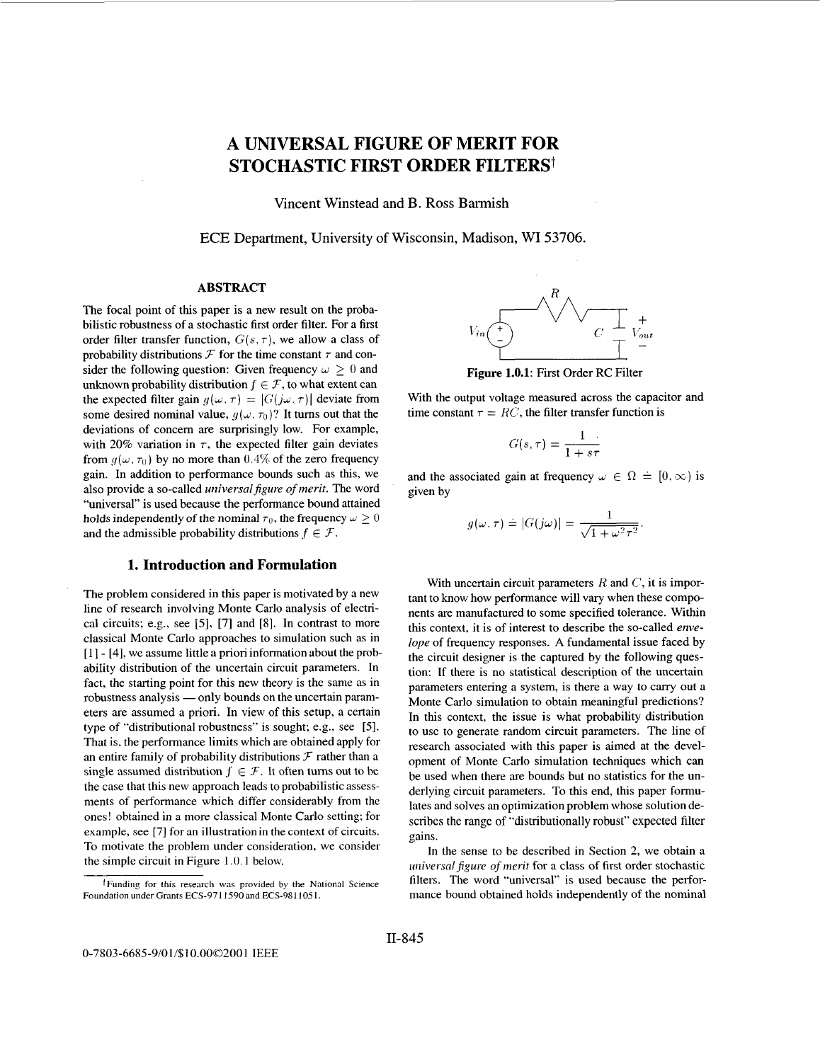# <span id="page-0-0"></span>**A UNIVERSAL FIGURE OF MERIT FOR STOCHASTIC FIRST ORDER FILTERS1**

Vincent Winstead and B. Ross Barmish

ECE Department, University of Wisconsin, Madison, WI 53706.

# **ABSTRACT**

The focal point of this paper is a new result on the probabilistic robustness of a stochastic first order filter. For **a** first order filter transfer function,  $G(s, \tau)$ , we allow a class of probability distributions  $\mathcal F$  for the time constant  $\tau$  and consider the following question: Given frequency  $\omega \geq 0$  and unknown probability distribution  $f \in \mathcal{F}$ , to what extent can the expected filter gain  $g(\omega, \tau) = |G(j\omega, \tau)|$  deviate from some desired nominal value,  $q(\omega, \tau_0)$ ? It turns out that the deviations of concem are surprisingly low. For example, with 20% variation in  $\tau$ , the expected filter gain deviates from  $g(\omega, \tau_0)$  by no more than 0.4% of the zero frequency gain. In addition to performance bounds such as this, we also provide a so-called *universal figure of merit*. The word "universal" is used because the performance bound attained holds independently of the nominal  $\tau_0$ , the frequency  $\omega > 0$ and the admissible probability distributions  $f \in \mathcal{F}$ .

#### **1. Introduction and Formulation**

The problem considered in this paper is motivated by a new line of research involving Monte Carlo analysis of electrical circuits; e.g., see [5], [7] and [8]. In contrast to more classical Monte Carlo approaches to simulation such as in [I] - [4]. we assume little a priori information about the probability distribution of the uncertain circuit parameters. In fact, the starting point for this new theory is the same as in ability distribution of the uncertain circuit parameters. In<br>fact, the starting point for this new theory is the same as in<br>robustness analysis — only bounds on the uncertain parameters are assumed a priori. In view of this setup, a certain type of "distributional robustness" is sought; e.g., see [5]. That is. the performance limits which are obtained apply for an entire family of probability distributions  $\mathcal F$  rather than a single assumed distribution  $f \in \mathcal{F}$ . It often turns out to be the case that this new approach leads to probabilistic assessments of performance which differ considerably from the ones! obtained in a more classical Monte Carlo setting; for example, see [7] for an illustration in **the** context of circuits. To motivate the problem under consideration, we consider the simple circuit in Figure 1.0.1 below.



**Figure 1.0.1:** First Order RC Filter

With the output voltage measured across the capacitor and time constant  $\tau = RC$ , the filter transfer function is **I.0.1:** First Order RC Filter<br>age measured across the c<br>*G*(s, *r*) =  $\frac{1}{1 + s\tau}$ 

$$
G(s,\tau)=\frac{1}{1+s\tau}
$$

and the associated gain at frequency  $\omega \in \Omega = [0, \infty)$  is given by

$$
g(\omega,\tau) \doteq |G(j\omega)| = \frac{1}{\sqrt{1+\omega^2\tau^2}}.
$$

With uncertain circuit parameters R and *c',* it is important to know how performance will vary when these components are manufactured to some specified tolerance. Within this context, it is of interest to describe the so-called *envelope* of frequency responses. **A** fundamental issue faced by the circuit designer is the captured by the following question: If there is no statistical description of the uncertain parameters entering a system, is there a way to carry out a Monte Carlo simulation to obtain meaningful predictions? In this context, the issue is what probability distribution to use to generate random circuit parameters. The line of research associated with this paper is aimed at the development of Monte Carlo simulation techniques which can be used when there are bounds but no statistics for the underlying circuit parameters. To this end, this paper formulates and solves an optimization problem whose solution describes the range of "distributionally robust" expected filter gains.

In the sense to be described in Section *2,* we obtain a universal figure of merit for a class of first order stochastic filters. The word "universal" is used because the performance bound obtained holds independently of the nominal

tFunding for this research **was** provided by the National Science Foundation under Grants ECS-9711590 and ECS-9811051.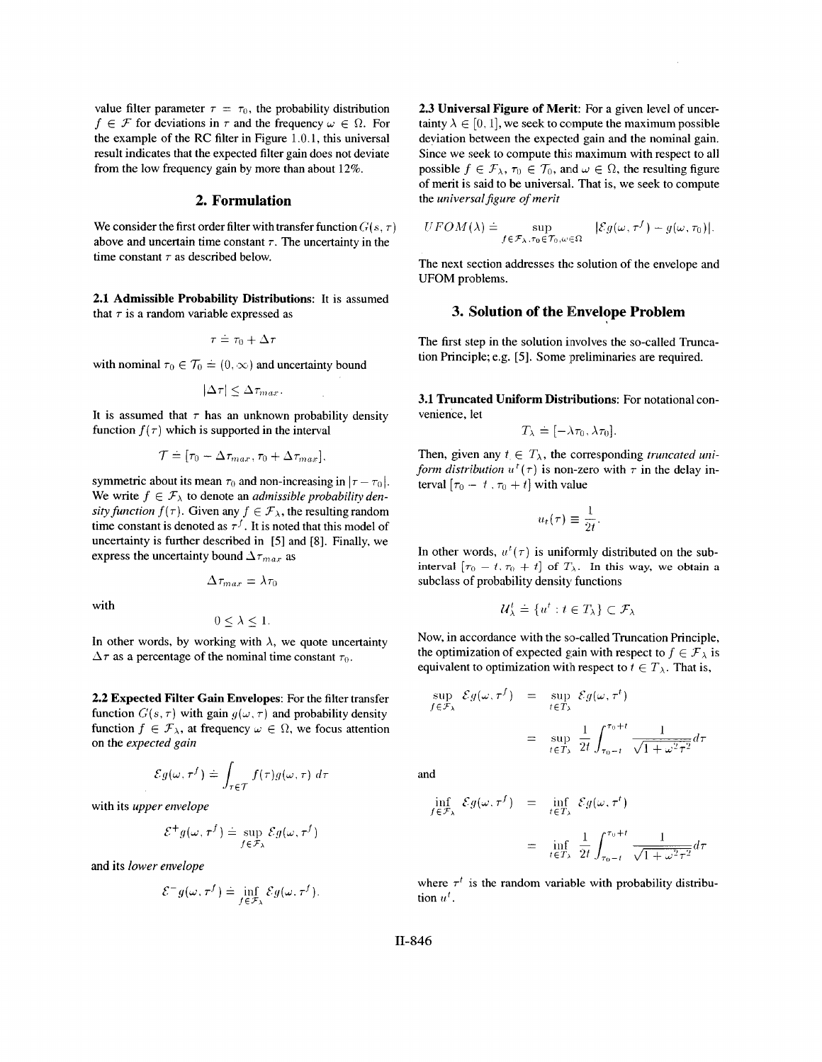value filter parameter  $\tau = \tau_0$ , the probability distribution  $f \in \mathcal{F}$  for deviations in  $\tau$  and the frequency  $\omega \in \Omega$ . For the example of the **RC** filter in [Figure 1.0.1,](#page-0-0) this universal result indicates that the expected filter gain does not deviate from the low frequency gain by more than about 12%.

# **2. Formulation**

We consider the first order filter with transfer function  $G(s, \tau)$ above and uncertain time constant  $\tau$ . The uncertainty in the time constant  $\tau$  as described below.

**2.1 Admissible Probability Distributions:** It is assumed that  $\tau$  is a random variable expressed as

$$
\tau \doteq \tau_0 + \Delta \tau
$$

with nominal  $\tau_0 \in \mathcal{T}_0 \doteq (0, \infty)$  and uncertainty bound

$$
|\Delta \tau| \leq \Delta \tau_{max}.
$$

It is assumed that  $\tau$  has an unknown probability density function  $f(\tau)$  which is supported in the interval

$$
\mathcal{T} \doteq [\tau_0 - \Delta \tau_{max}, \tau_0 + \Delta \tau_{max}].
$$

symmetric about its mean  $\tau_0$  and non-increasing in  $|\tau - \tau_0|$ . We write  $f \in \mathcal{F}_{\lambda}$  to denote an *admissible probability density function*  $f(\tau)$ . Given any  $f \in \mathcal{F}_{\lambda}$ , the resulting random time constant is denoted as  $\tau^{f}$ . It is noted that this model of uncertainty is further described in [5] and [8]. Finally, we express the uncertainty bound  $\Delta\tau_{max}$  as

$$
\Delta \tau_{max} = \lambda \tau_0
$$

with

$$
0\leq \lambda \leq 1.
$$

In other words, by working with  $\lambda$ , we quote uncertainty  $\Delta \tau$  as a percentage of the nominal time constant  $\tau_0$ .

**2.2 Expected Filter Gain Envelopes:** For the filter transfer function  $G(s, \tau)$  with gain  $g(\omega, \tau)$  and probability density function  $f \in \mathcal{F}_{\lambda}$ , at frequency  $\omega \in \Omega$ , we focus attention on the *expected gain* 

$$
\mathcal{E}g(\omega,\tau^f) \doteq \int_{\tau \in \mathcal{T}} f(\tau)g(\omega,\tau) \, d\tau
$$

with its *upper envelope* 

$$
\mathcal{E}^+ g(\omega,\tau^f) \doteq \sup_{f \in \mathcal{F}_\lambda} \mathcal{E} g(\omega,\tau^f)
$$

and **its** *lower eiwelope* 

$$
\mathcal{E}^{-}g(\omega,\tau^{f})\doteq\inf_{f\in\mathcal{F}_{\lambda}}\mathcal{E}g(\omega,\tau^{f}).
$$

**2.3 Universal Figure of Merit:** For a given level of uncertainty  $\lambda \in [0, 1]$ , we seek to compute the maximum possible deviation between the expected gain and the nominal gain. Since we seek to compute this maximum with respect to all possible  $f \in \mathcal{F}_{\lambda}$ ,  $\tau_0 \in \mathcal{T}_0$ , and  $\omega \in \Omega$ , the resulting figure of merit is said to be universal. That is, we seek to compute the *universal* figure of merit

$$
UFOM(\lambda) \doteq \sup_{f \in \mathcal{F}_{\lambda}, \tau_0 \in \mathcal{T}_0, \omega \in \Omega} |\mathcal{E}g(\omega, \tau^f) - g(\omega, \tau_0)|.
$$

The next section addresses the solution of the envelope and UFOM problems.

#### **3. Solution of the Envelope Problem**

The first step in the solution involves the so-called Truncation Principle; e.g. [5]. Some preliminaries are required.

**3.1 Truncated Uniform Distributions:** For notational convenience, let

$$
T_{\lambda} \doteq [-\lambda \tau_0, \lambda \tau_0].
$$

Then, given any  $t \in T_\lambda$ , the corresponding *truncated uniform distribution*  $u^t(\tau)$  is non-zero with  $\tau$  in the delay interval  $[\tau_0 - t, \tau_0 + t]$  with value

$$
u_t(\tau) \equiv \frac{1}{2t}.
$$

In other words,  $u^t(\tau)$  is uniformly distributed on the sub**interval**  $[\tau_0 - t, \tau_0 + t]$  of  $T_\lambda$ . In this way, we obtain a subclass of probability density functions

$$
\mathcal{U}^t_\lambda \doteq \{u^t: t \in T_\lambda\} \subset \mathcal{F}_\lambda
$$

Now, in accordance with the so-called Truncation Principle, the optimization of expected gain with respect to  $f \in \mathcal{F}_{\lambda}$  is equivalent to optimization with respect to  $t \in T_\lambda$ . That is,

$$
\sup_{t \in \mathcal{F}_{\lambda}} \mathcal{E}g(\omega, \tau^{f}) = \sup_{t \in T_{\lambda}} \mathcal{E}g(\omega, \tau^{t})
$$

$$
= \sup_{t \in T_{\lambda}} \frac{1}{2t} \int_{\tau_{0}-t}^{\tau_{0}+t} \frac{1}{\sqrt{1 + \omega^{2} \tau^{2}}} d\tau
$$

and

j.

$$
\inf_{f \in \mathcal{F}_{\lambda}} \mathcal{E}g(\omega, \tau^{f}) = \inf_{t \in T_{\lambda}} \mathcal{E}g(\omega, \tau^{t})
$$
\n
$$
= \inf_{t \in T_{\lambda}} \frac{1}{2t} \int_{\tau_{0}-t}^{\tau_{0}+t} \frac{1}{\sqrt{1+\omega^{2} \tau^{2}}} d\tau
$$

where  $\tau^t$  is the random variable with probability distribution  $u^t$ .

**11-846**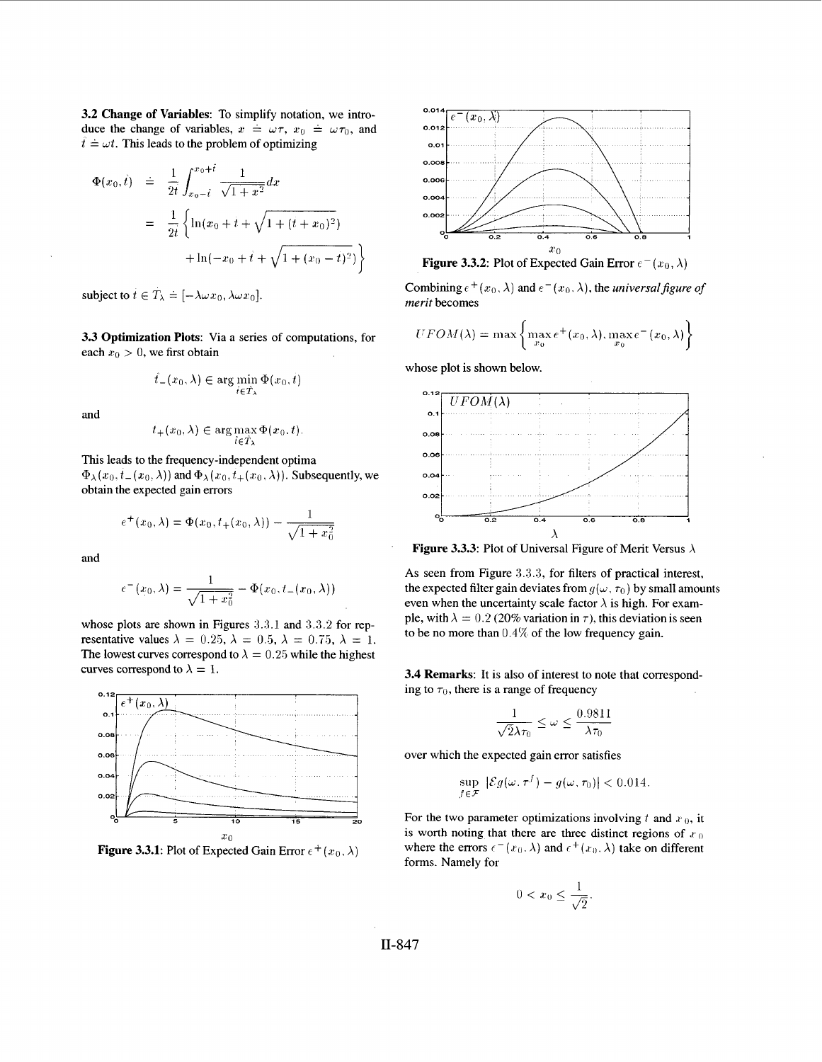**3.2 Change of Variables:** To simplify notation, we introduce the change of variables,  $x = \omega \tau$ ,  $x_0 = \omega \tau_0$ , and  $\hat{t} = \omega t$ . This leads to the problem of optimizing

$$
\Phi(x_0, \dot{t}) = \frac{1}{2t} \int_{x_0 - \dot{t}}^{x_0 + \dot{t}} \frac{1}{\sqrt{1 + x^2}} dx
$$
  

$$
= \frac{1}{2t} \left\{ \ln(x_0 + \dot{t} + \sqrt{1 + (\dot{t} + x_0)^2}) + \ln(-x_0 + \dot{t} + \sqrt{1 + (x_0 - \dot{t})^2}) \right\}
$$

subject to  $t \in T_{\lambda} = [-\lambda \omega x_0, \lambda \omega x_0].$ 

**3.3 Optimization Plots:** Via a series of computations, for each  $x_0 > 0$ , we first obtain

$$
\hat{t}_-(x_0,\lambda)\in\arg\min_{\hat{t}\in\hat{T}_\lambda}\Phi(x_0,\hat{t})
$$

**and** 

$$
t_+(x_0,\lambda)\in\arg\max_{\hat{t}\in\hat{T}_\lambda}\Phi(x_0,t).
$$

This leads to the frequency-independent optima  $\Phi_{\lambda}(x_0, t_{-}(x_0, \lambda))$  and  $\Phi_{\lambda}(x_0, t_{+}(x_0, \lambda))$ . Subsequently, we obtain the expected gain errors

$$
e^+(x_0, \lambda) = \Phi(x_0, t_+(x_0, \lambda)) - \frac{1}{\sqrt{1+x_0^2}}
$$

and

$$
e^-(x_0,\lambda) = \frac{1}{\sqrt{1+x_0^2}} - \Phi(x_0,t_-(x_0,\lambda))
$$

whose plots are shown in Figures 3.3.1 and *3.3.2* for representative values  $\lambda = 0.25$ ,  $\lambda = 0.5$ ,  $\lambda = 0.75$ ,  $\lambda = 1$ . The lowest curves correspond to  $\lambda = 0.25$  while the highest curves correspond to  $\lambda = 1$ .



**Figure 3.3.1:** Plot of Expected Gain Error  $e^+(x_0, \lambda)$ 



Combining  $e^+(x_0, \lambda)$  and  $e^-(x_0, \lambda)$ , the *universal figure of merit* becomes

$$
UFOM(\lambda) = \max \left\{ \max_{x_0} e^+(x_0, \lambda), \max_{x_0} e^-(x_0, \lambda) \right\}
$$

whose plot is shown below.



**Figure 3.3.3:** Plot of Universal Figure of Merit Versus  $\lambda$ 

**As** seen from Figure **3.3.3,** for filters of practical interest, the expected filter gain deviates from  $g(\omega, \tau_0)$  by small amounts even when the uncertainty scale factor  $\lambda$  is high. For example, with  $\lambda = 0.2$  (20% variation in  $\tau$ ), this deviation is seen *to* be no more than 0.4% of the low frequency gain.

**3.4 Remarks:** It is also of interest to note that corresponding to  $\tau_0$ , there is a range of frequency

$$
\frac{1}{\sqrt{2}\lambda\tau_0} \leq \omega \leq \frac{0.9811}{\lambda\tau_0}
$$

over which the expected gain error satisfies

$$
\sup_{f \in \mathcal{F}} |\mathcal{E}g(\omega, \tau^f) - g(\omega, \tau_0)| < 0.014.
$$

For the two parameter optimizations involving  $t$  and  $x_0$ , it is worth noting that there are three distinct regions of  $x_0$ where the errors  $\epsilon^-(x_0, \lambda)$  and  $\epsilon^+(x_0, \lambda)$  take on different forms. Namely for

$$
0 < x_0 \le \frac{1}{\sqrt{2}}.
$$

11-847